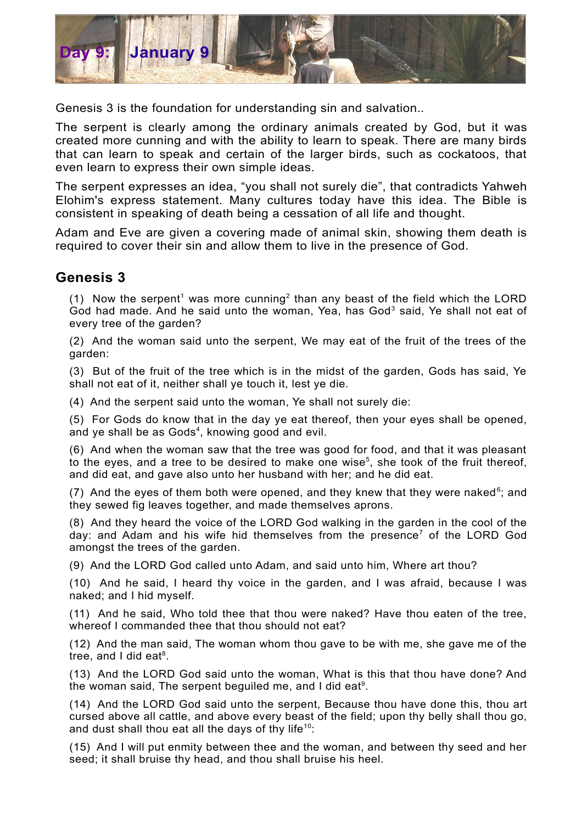

Genesis 3 is the foundation for understanding sin and salvation.*.*

The serpent is clearly among the ordinary animals created by God, but it was created more cunning and with the ability to learn to speak. There are many birds that can learn to speak and certain of the larger birds, such as cockatoos, that even learn to express their own simple ideas.

The serpent expresses an idea, "you shall not surely die", that contradicts Yahweh Elohim's express statement. Many cultures today have this idea. The Bible is consistent in speaking of death being a cessation of all life and thought.

Adam and Eve are given a covering made of animal skin, showing them death is required to cover their sin and allow them to live in the presence of God.

## **Genesis 3**

([1](#page-1-0)) Now the serpent<sup>1</sup> was more cunning<sup>[2](#page-1-1)</sup> than any beast of the field which the LORD God had made. And he said unto the woman, Yea, has God<sup>[3](#page-1-2)</sup> said, Ye shall not eat of every tree of the garden?

(2) And the woman said unto the serpent, We may eat of the fruit of the trees of the garden:

(3) But of the fruit of the tree which is in the midst of the garden, Gods has said, Ye shall not eat of it, neither shall ye touch it, lest ye die.

(4) And the serpent said unto the woman, Ye shall not surely die:

(5) For Gods do know that in the day ye eat thereof, then your eyes shall be opened, and ye shall be as Gods<sup>[4](#page-1-3)</sup>, knowing good and evil.

(6) And when the woman saw that the tree was good for food, and that it was pleasant to the eyes, and a tree to be desired to make one wise<sup>[5](#page-1-4)</sup>, she took of the fruit thereof, and did eat, and gave also unto her husband with her; and he did eat.

(7) And the eyes of them both were opened, and they knew that they were naked<sup>[6](#page-1-5)</sup>; and they sewed fig leaves together, and made themselves aprons.

(8) And they heard the voice of the LORD God walking in the garden in the cool of the day: and Adam and his wife hid themselves from the presence<sup>[7](#page-1-6)</sup> of the LORD God amongst the trees of the garden.

(9) And the LORD God called unto Adam, and said unto him, Where art thou?

(10) And he said, I heard thy voice in the garden, and I was afraid, because I was naked; and I hid myself.

(11) And he said, Who told thee that thou were naked? Have thou eaten of the tree, whereof I commanded thee that thou should not eat?

(12) And the man said, The woman whom thou gave to be with me, she gave me of the tree, and I did eat<sup>[8](#page-1-7)</sup>.

(13) And the LORD God said unto the woman, What is this that thou have done? And the woman said, The serpent beguiled me, and I did eat<sup>[9](#page-1-8)</sup>.

(14) And the LORD God said unto the serpent, Because thou have done this, thou art cursed above all cattle, and above every beast of the field; upon thy belly shall thou go, and dust shall thou eat all the days of thy life<sup>[10](#page-1-9)</sup>:

(15) And I will put enmity between thee and the woman, and between thy seed and her seed; it shall bruise thy head, and thou shall bruise his heel.